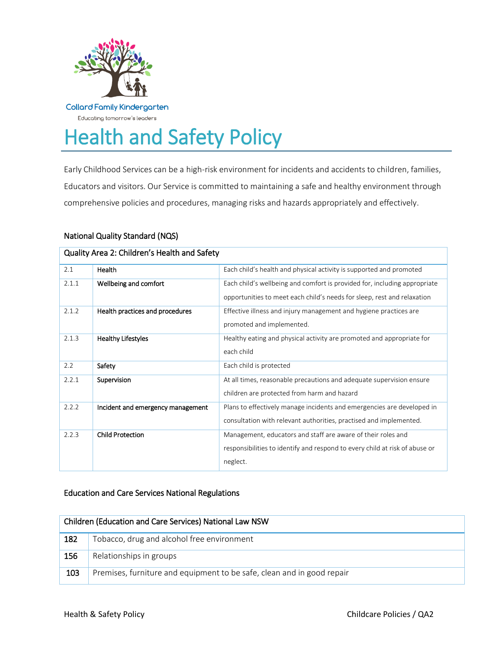

# Health and Safety Policy

Early Childhood Services can be a high-risk environment for incidents and accidents to children, families, Educators and visitors. Our Service is committed to maintaining a safe and healthy environment through comprehensive policies and procedures, managing risks and hazards appropriately and effectively.

# National Quality Standard (NQS)

| Quality Area 2: Children's Health and Safety |                                   |                                                                                                                                                         |  |
|----------------------------------------------|-----------------------------------|---------------------------------------------------------------------------------------------------------------------------------------------------------|--|
| 2.1                                          | Health                            | Each child's health and physical activity is supported and promoted                                                                                     |  |
| 2.1.1                                        | Wellbeing and comfort             | Each child's wellbeing and comfort is provided for, including appropriate<br>opportunities to meet each child's needs for sleep, rest and relaxation    |  |
| 2.1.2                                        | Health practices and procedures   | Effective illness and injury management and hygiene practices are<br>promoted and implemented.                                                          |  |
| 2.1.3                                        | <b>Healthy Lifestyles</b>         | Healthy eating and physical activity are promoted and appropriate for<br>each child                                                                     |  |
| 2.2                                          | Safety                            | Each child is protected                                                                                                                                 |  |
| 2.2.1                                        | Supervision                       | At all times, reasonable precautions and adequate supervision ensure<br>children are protected from harm and hazard                                     |  |
| 2.2.2                                        | Incident and emergency management | Plans to effectively manage incidents and emergencies are developed in<br>consultation with relevant authorities, practised and implemented.            |  |
| 2.2.3                                        | <b>Child Protection</b>           | Management, educators and staff are aware of their roles and<br>responsibilities to identify and respond to every child at risk of abuse or<br>neglect. |  |

# Education and Care Services National Regulations

| Children (Education and Care Services) National Law NSW |                                                                        |  |
|---------------------------------------------------------|------------------------------------------------------------------------|--|
| 182                                                     | Tobacco, drug and alcohol free environment                             |  |
| 156                                                     | Relationships in groups                                                |  |
| 103                                                     | Premises, furniture and equipment to be safe, clean and in good repair |  |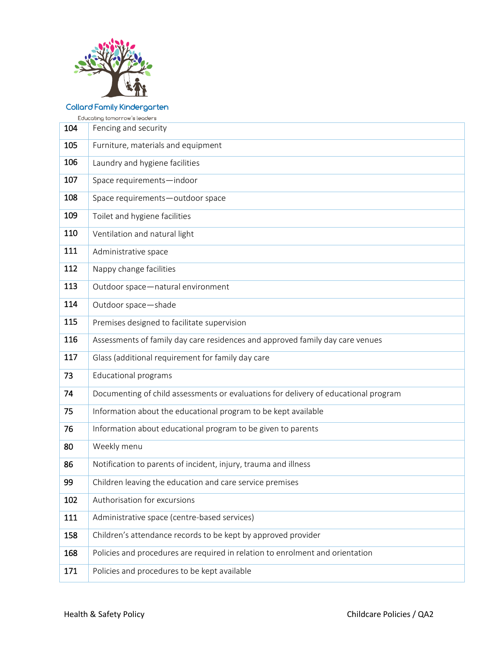

Educating tomorrow's leaders

| 104 | Fencing and security                                                                |
|-----|-------------------------------------------------------------------------------------|
| 105 | Furniture, materials and equipment                                                  |
| 106 | Laundry and hygiene facilities                                                      |
| 107 | Space requirements-indoor                                                           |
| 108 | Space requirements-outdoor space                                                    |
| 109 | Toilet and hygiene facilities                                                       |
| 110 | Ventilation and natural light                                                       |
| 111 | Administrative space                                                                |
| 112 | Nappy change facilities                                                             |
| 113 | Outdoor space-natural environment                                                   |
| 114 | Outdoor space-shade                                                                 |
| 115 | Premises designed to facilitate supervision                                         |
| 116 | Assessments of family day care residences and approved family day care venues       |
| 117 | Glass (additional requirement for family day care                                   |
| 73  | <b>Educational programs</b>                                                         |
| 74  | Documenting of child assessments or evaluations for delivery of educational program |
| 75  | Information about the educational program to be kept available                      |
| 76  | Information about educational program to be given to parents                        |
| 80  | Weekly menu                                                                         |
| 86  | Notification to parents of incident, injury, trauma and illness                     |
| 99  | Children leaving the education and care service premises                            |
| 102 | Authorisation for excursions                                                        |
| 111 | Administrative space (centre-based services)                                        |
| 158 | Children's attendance records to be kept by approved provider                       |
| 168 | Policies and procedures are required in relation to enrolment and orientation       |
| 171 | Policies and procedures to be kept available                                        |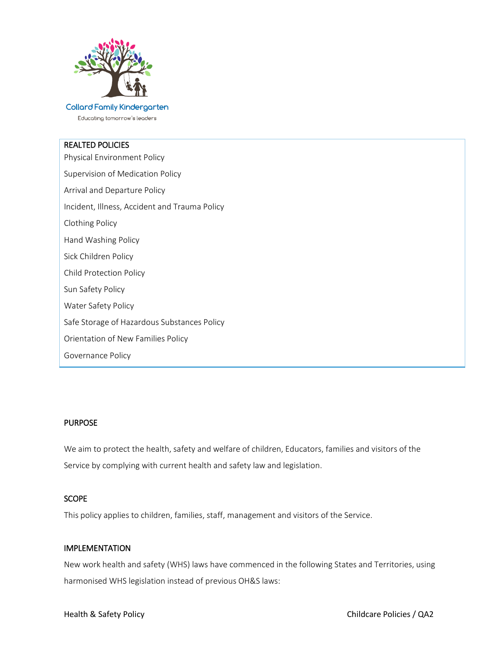

Educating tomorrow's leaders

# REALTED POLICIES

Physical Environment Policy Supervision of Medication Policy Arrival and Departure Policy Incident, Illness, Accident and Trauma Policy Clothing Policy Hand Washing Policy Sick Children Policy Child Protection Policy Sun Safety Policy Water Safety Policy Safe Storage of Hazardous Substances Policy Orientation of New Families Policy Governance Policy

#### PURPOSE

We aim to protect the health, safety and welfare of children, Educators, families and visitors of the Service by complying with current health and safety law and legislation.

# **SCOPE**

This policy applies to children, families, staff, management and visitors of the Service.

#### IMPLEMENTATION

New work health and safety (WHS) laws have commenced in the following States and Territories, using harmonised WHS legislation instead of previous OH&S laws: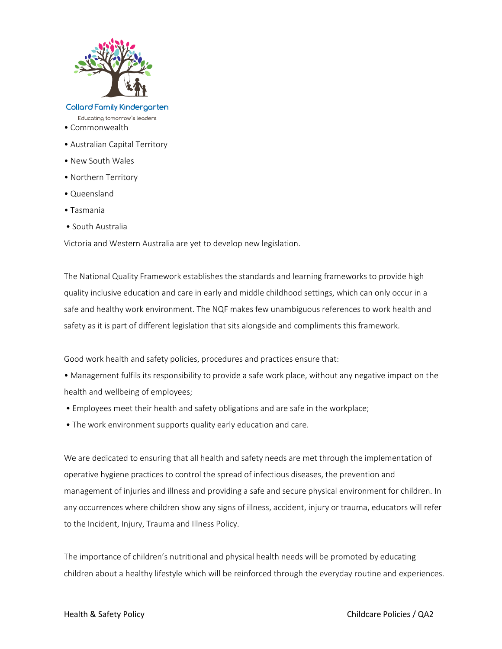

#### **Collard Family Kindergarten** Educating tomorrow's leaders

- Commonwealth
- Australian Capital Territory
- New South Wales
- Northern Territory
- Queensland
- Tasmania
- South Australia

Victoria and Western Australia are yet to develop new legislation.

The National Quality Framework establishes the standards and learning frameworks to provide high quality inclusive education and care in early and middle childhood settings, which can only occur in a safe and healthy work environment. The NQF makes few unambiguous references to work health and safety as it is part of different legislation that sits alongside and compliments this framework.

Good work health and safety policies, procedures and practices ensure that:

• Management fulfils its responsibility to provide a safe work place, without any negative impact on the health and wellbeing of employees;

- Employees meet their health and safety obligations and are safe in the workplace;
- The work environment supports quality early education and care.

We are dedicated to ensuring that all health and safety needs are met through the implementation of operative hygiene practices to control the spread of infectious diseases, the prevention and management of injuries and illness and providing a safe and secure physical environment for children. In any occurrences where children show any signs of illness, accident, injury or trauma, educators will refer to the Incident, Injury, Trauma and Illness Policy.

The importance of children's nutritional and physical health needs will be promoted by educating children about a healthy lifestyle which will be reinforced through the everyday routine and experiences.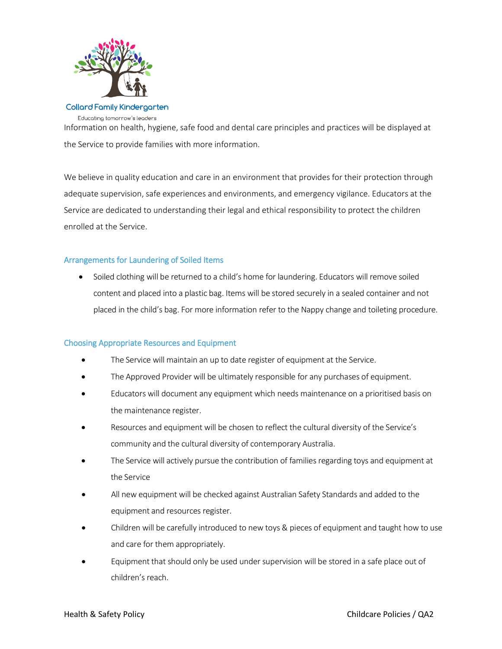

**Collard Family Kindergarten** Educating tomorrow's leaders

Information on health, hygiene, safe food and dental care principles and practices will be displayed at the Service to provide families with more information.

We believe in quality education and care in an environment that provides for their protection through adequate supervision, safe experiences and environments, and emergency vigilance. Educators at the Service are dedicated to understanding their legal and ethical responsibility to protect the children enrolled at the Service.

# Arrangements for Laundering of Soiled Items

 Soiled clothing will be returned to a child's home for laundering. Educators will remove soiled content and placed into a plastic bag. Items will be stored securely in a sealed container and not placed in the child's bag. For more information refer to the Nappy change and toileting procedure.

# Choosing Appropriate Resources and Equipment

- The Service will maintain an up to date register of equipment at the Service.
- The Approved Provider will be ultimately responsible for any purchases of equipment.
- Educators will document any equipment which needs maintenance on a prioritised basis on the maintenance register.
- Resources and equipment will be chosen to reflect the cultural diversity of the Service's community and the cultural diversity of contemporary Australia.
- The Service will actively pursue the contribution of families regarding toys and equipment at the Service
- All new equipment will be checked against Australian Safety Standards and added to the equipment and resources register.
- Children will be carefully introduced to new toys & pieces of equipment and taught how to use and care for them appropriately.
- Equipment that should only be used under supervision will be stored in a safe place out of children's reach.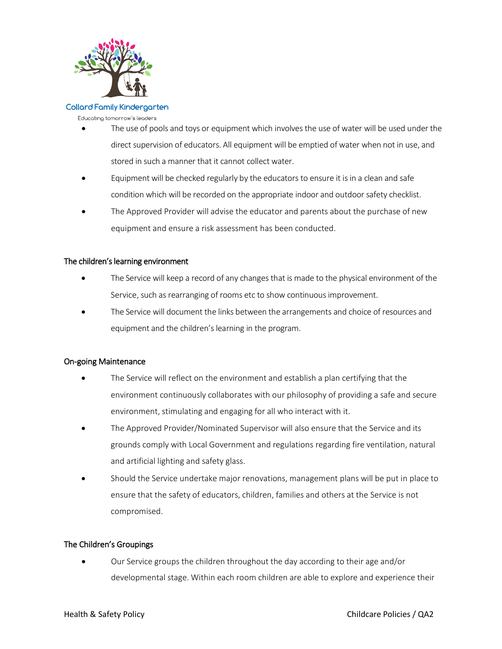

Educating tomorrow's leaders

- The use of pools and toys or equipment which involves the use of water will be used under the direct supervision of educators. All equipment will be emptied of water when not in use, and stored in such a manner that it cannot collect water.
- Equipment will be checked regularly by the educators to ensure it is in a clean and safe condition which will be recorded on the appropriate indoor and outdoor safety checklist.
- The Approved Provider will advise the educator and parents about the purchase of new equipment and ensure a risk assessment has been conducted.

# The children's learning environment

- The Service will keep a record of any changes that is made to the physical environment of the Service, such as rearranging of rooms etc to show continuous improvement.
- The Service will document the links between the arrangements and choice of resources and equipment and the children's learning in the program.

# On-going Maintenance

- The Service will reflect on the environment and establish a plan certifying that the environment continuously collaborates with our philosophy of providing a safe and secure environment, stimulating and engaging for all who interact with it.
- The Approved Provider/Nominated Supervisor will also ensure that the Service and its grounds comply with Local Government and regulations regarding fire ventilation, natural and artificial lighting and safety glass.
- Should the Service undertake major renovations, management plans will be put in place to ensure that the safety of educators, children, families and others at the Service is not compromised.

# The Children's Groupings

 Our Service groups the children throughout the day according to their age and/or developmental stage. Within each room children are able to explore and experience their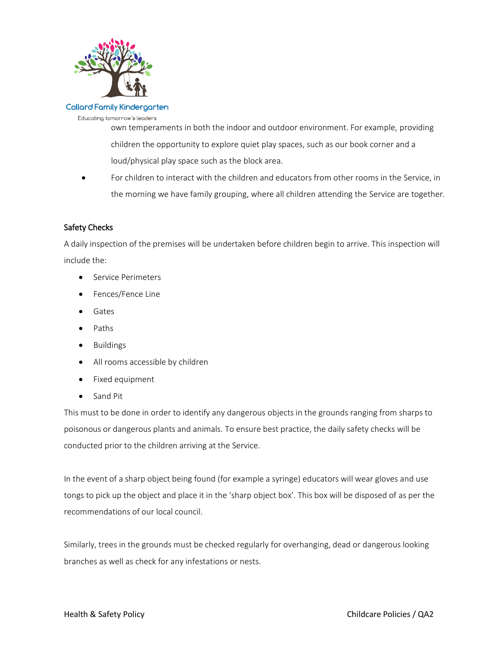

Educating tomorrow's leaders

own temperaments in both the indoor and outdoor environment. For example, providing children the opportunity to explore quiet play spaces, such as our book corner and a loud/physical play space such as the block area.

 For children to interact with the children and educators from other rooms in the Service, in the morning we have family grouping, where all children attending the Service are together.

# Safety Checks

A daily inspection of the premises will be undertaken before children begin to arrive. This inspection will include the:

- **Service Perimeters**
- Fences/Fence Line
- Gates
- Paths
- Buildings
- All rooms accessible by children
- Fixed equipment
- Sand Pit

This must to be done in order to identify any dangerous objects in the grounds ranging from sharps to poisonous or dangerous plants and animals. To ensure best practice, the daily safety checks will be conducted prior to the children arriving at the Service.

In the event of a sharp object being found (for example a syringe) educators will wear gloves and use tongs to pick up the object and place it in the 'sharp object box'. This box will be disposed of as per the recommendations of our local council.

Similarly, trees in the grounds must be checked regularly for overhanging, dead or dangerous looking branches as well as check for any infestations or nests.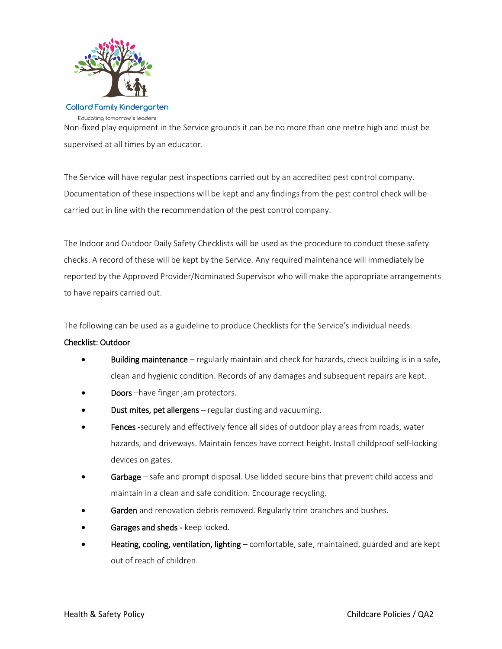

#### **Collard Family Kindergarten** Educating tomorrow's leaders

Non-fixed play equipment in the Service grounds it can be no more than one metre high and must be supervised at all times by an educator.

The Service will have regular pest inspections carried out by an accredited pest control company. Documentation of these inspections will be kept and any findings from the pest control check will be carried out in line with the recommendation of the pest control company.

The Indoor and Outdoor Daily Safety Checklists will be used as the procedure to conduct these safety checks. A record of these will be kept by the Service. Any required maintenance will immediately be reported by the Approved Provider/Nominated Supervisor who will make the appropriate arrangements to have repairs carried out.

The following can be used as a guideline to produce Checklists for the Service's individual needs.

# Checklist: Outdoor

- Building maintenance regularly maintain and check for hazards, check building is in a safe, clean and hygienic condition. Records of any damages and subsequent repairs are kept.
- Doors –have finger jam protectors.
- Dust mites, pet allergens regular dusting and vacuuming.
- Fences -securely and effectively fence all sides of outdoor play areas from roads, water hazards, and driveways. Maintain fences have correct height. Install childproof self-locking devices on gates.
- Garbage safe and prompt disposal. Use lidded secure bins that prevent child access and maintain in a clean and safe condition. Encourage recycling.
- Garden and renovation debris removed. Regularly trim branches and bushes.
- Garages and sheds keep locked.
- Heating, cooling, ventilation, lighting comfortable, safe, maintained, guarded and are kept out of reach of children.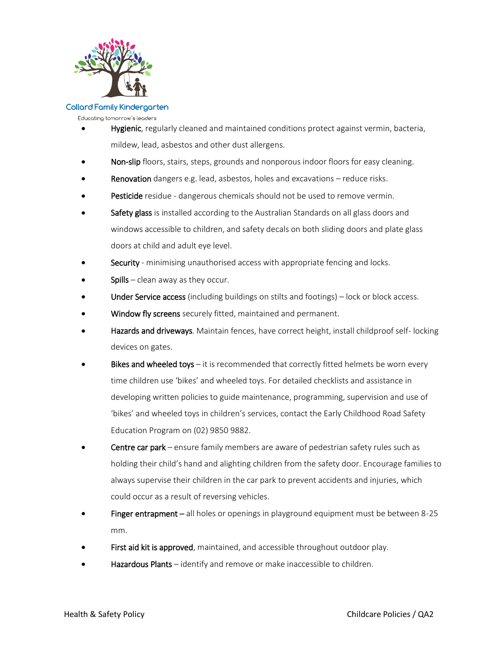

Educating tomorrow's leaders

- Hygienic, regularly cleaned and maintained conditions protect against vermin, bacteria, mildew, lead, asbestos and other dust allergens.
- Non-slip floors, stairs, steps, grounds and nonporous indoor floors for easy cleaning.
- Renovation dangers e.g. lead, asbestos, holes and excavations reduce risks.
- Pesticide residue dangerous chemicals should not be used to remove vermin.
- Safety glass is installed according to the Australian Standards on all glass doors and windows accessible to children, and safety decals on both sliding doors and plate glass doors at child and adult eye level.
- Security minimising unauthorised access with appropriate fencing and locks.
- Spills clean away as they occur.
- Under Service access (including buildings on stilts and footings) lock or block access.
- Window fly screens securely fitted, maintained and permanent.
- Hazards and driveways. Maintain fences, have correct height, install childproof self-locking devices on gates.
- Bikes and wheeled toys  $-$  it is recommended that correctly fitted helmets be worn every time children use 'bikes' and wheeled toys. For detailed checklists and assistance in developing written policies to guide maintenance, programming, supervision and use of 'bikes' and wheeled toys in children's services, contact the Early Childhood Road Safety Education Program on (02) 9850 9882.
- Centre car park ensure family members are aware of pedestrian safety rules such as holding their child's hand and alighting children from the safety door. Encourage families to always supervise their children in the car park to prevent accidents and injuries, which could occur as a result of reversing vehicles.
- Finger entrapment all holes or openings in playground equipment must be between 8-25 mm.
- First aid kit is approved, maintained, and accessible throughout outdoor play.
- Hazardous Plants identify and remove or make inaccessible to children.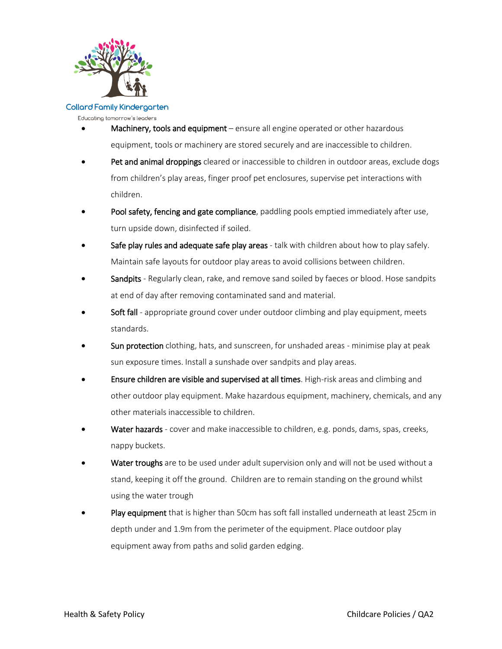

Educating tomorrow's leaders

- Machinery, tools and equipment ensure all engine operated or other hazardous equipment, tools or machinery are stored securely and are inaccessible to children.
- Pet and animal droppings cleared or inaccessible to children in outdoor areas, exclude dogs from children's play areas, finger proof pet enclosures, supervise pet interactions with children.
- Pool safety, fencing and gate compliance, paddling pools emptied immediately after use, turn upside down, disinfected if soiled.
- Safe play rules and adequate safe play areas talk with children about how to play safely. Maintain safe layouts for outdoor play areas to avoid collisions between children.
- Sandpits Regularly clean, rake, and remove sand soiled by faeces or blood. Hose sandpits at end of day after removing contaminated sand and material.
- Soft fall appropriate ground cover under outdoor climbing and play equipment, meets standards.
- Sun protection clothing, hats, and sunscreen, for unshaded areas minimise play at peak sun exposure times. Install a sunshade over sandpits and play areas.
- Ensure children are visible and supervised at all times. High-risk areas and climbing and other outdoor play equipment. Make hazardous equipment, machinery, chemicals, and any other materials inaccessible to children.
- Water hazards cover and make inaccessible to children, e.g. ponds, dams, spas, creeks, nappy buckets.
- Water troughs are to be used under adult supervision only and will not be used without a stand, keeping it off the ground. Children are to remain standing on the ground whilst using the water trough
- Play equipment that is higher than 50cm has soft fall installed underneath at least 25cm in depth under and 1.9m from the perimeter of the equipment. Place outdoor play equipment away from paths and solid garden edging.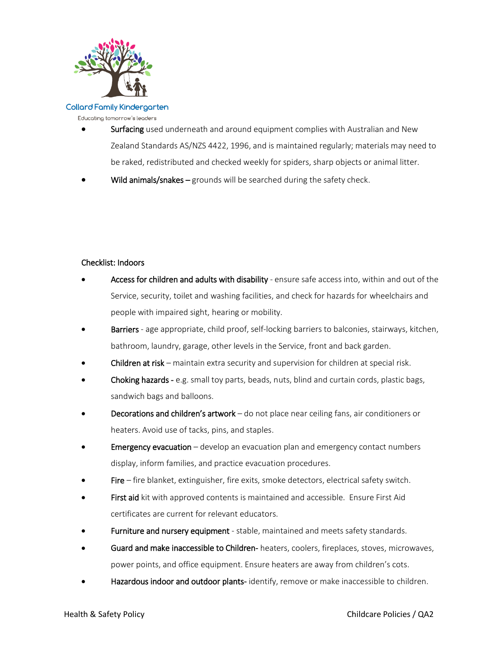

Educating tomorrow's leaders

- Surfacing used underneath and around equipment complies with Australian and New Zealand Standards AS/NZS 4422, 1996, and is maintained regularly; materials may need to be raked, redistributed and checked weekly for spiders, sharp objects or animal litter.
- Wild animals/snakes grounds will be searched during the safety check.

# Checklist: Indoors

- Access for children and adults with disability ensure safe access into, within and out of the Service, security, toilet and washing facilities, and check for hazards for wheelchairs and people with impaired sight, hearing or mobility.
- Barriers age appropriate, child proof, self-locking barriers to balconies, stairways, kitchen, bathroom, laundry, garage, other levels in the Service, front and back garden.
- Children at risk maintain extra security and supervision for children at special risk.
- Choking hazards e.g. small toy parts, beads, nuts, blind and curtain cords, plastic bags, sandwich bags and balloons.
- Decorations and children's artwork do not place near ceiling fans, air conditioners or heaters. Avoid use of tacks, pins, and staples.
- **Emergency evacuation** develop an evacuation plan and emergency contact numbers display, inform families, and practice evacuation procedures.
- Fire fire blanket, extinguisher, fire exits, smoke detectors, electrical safety switch.
- First aid kit with approved contents is maintained and accessible. Ensure First Aid certificates are current for relevant educators.
- Furniture and nursery equipment stable, maintained and meets safety standards.
- Guard and make inaccessible to Children- heaters, coolers, fireplaces, stoves, microwaves, power points, and office equipment. Ensure heaters are away from children's cots.
- Hazardous indoor and outdoor plants-identify, remove or make inaccessible to children.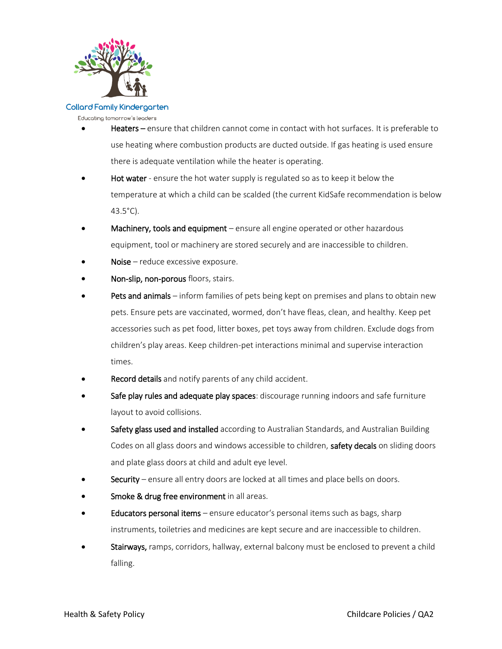

Educating tomorrow's leaders

- Heaters ensure that children cannot come in contact with hot surfaces. It is preferable to use heating where combustion products are ducted outside. If gas heating is used ensure there is adequate ventilation while the heater is operating.
- Hot water ensure the hot water supply is regulated so as to keep it below the temperature at which a child can be scalded (the current KidSafe recommendation is below 43.5°C).
- Machinery, tools and equipment ensure all engine operated or other hazardous equipment, tool or machinery are stored securely and are inaccessible to children.
- Noise reduce excessive exposure.
- Non-slip, non-porous floors, stairs.
- Pets and animals inform families of pets being kept on premises and plans to obtain new pets. Ensure pets are vaccinated, wormed, don't have fleas, clean, and healthy. Keep pet accessories such as pet food, litter boxes, pet toys away from children. Exclude dogs from children's play areas. Keep children-pet interactions minimal and supervise interaction times.
- Record details and notify parents of any child accident.
- Safe play rules and adequate play spaces: discourage running indoors and safe furniture layout to avoid collisions.
- Safety glass used and installed according to Australian Standards, and Australian Building Codes on all glass doors and windows accessible to children, safety decals on sliding doors and plate glass doors at child and adult eye level.
- Security ensure all entry doors are locked at all times and place bells on doors.
- Smoke & drug free environment in all areas.
- Educators personal items ensure educator's personal items such as bags, sharp instruments, toiletries and medicines are kept secure and are inaccessible to children.
- Stairways, ramps, corridors, hallway, external balcony must be enclosed to prevent a child falling.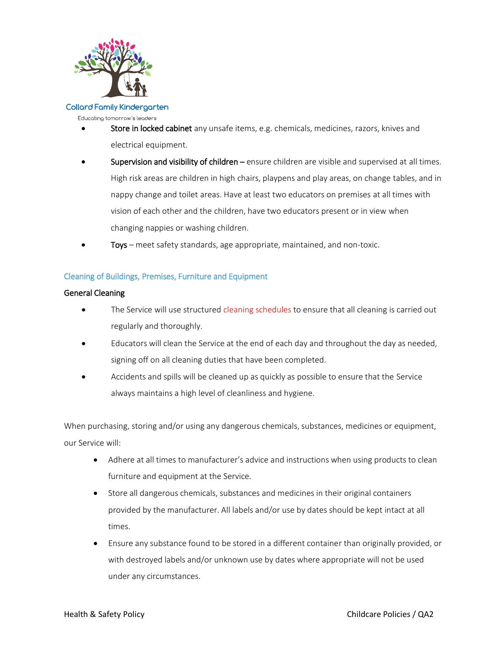

Educating tomorrow's leaders

- Store in locked cabinet any unsafe items, e.g. chemicals, medicines, razors, knives and electrical equipment.
- Supervision and visibility of children ensure children are visible and supervised at all times. High risk areas are children in high chairs, playpens and play areas, on change tables, and in nappy change and toilet areas. Have at least two educators on premises at all times with vision of each other and the children, have two educators present or in view when changing nappies or washing children.
	- Toys meet safety standards, age appropriate, maintained, and non-toxic.

# Cleaning of Buildings, Premises, Furniture and Equipment

# General Cleaning

- The Service will use structured cleaning schedules to ensure that all cleaning is carried out regularly and thoroughly.
- Educators will clean the Service at the end of each day and throughout the day as needed, signing off on all cleaning duties that have been completed.
- Accidents and spills will be cleaned up as quickly as possible to ensure that the Service always maintains a high level of cleanliness and hygiene.

When purchasing, storing and/or using any dangerous chemicals, substances, medicines or equipment, our Service will:

- Adhere at all times to manufacturer's advice and instructions when using products to clean furniture and equipment at the Service.
- Store all dangerous chemicals, substances and medicines in their original containers provided by the manufacturer. All labels and/or use by dates should be kept intact at all times.
- Ensure any substance found to be stored in a different container than originally provided, or with destroyed labels and/or unknown use by dates where appropriate will not be used under any circumstances.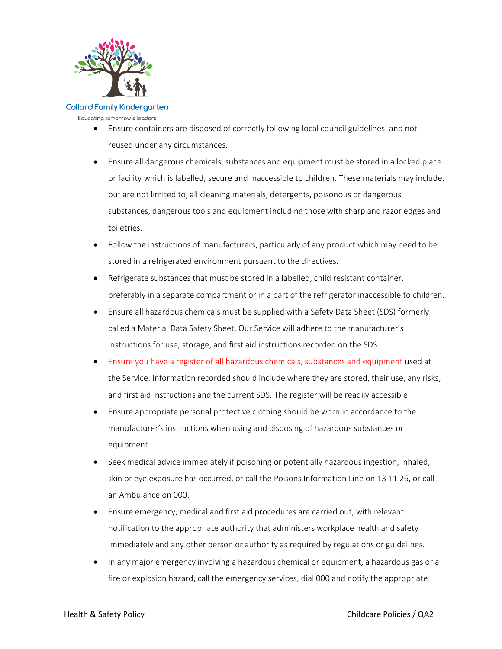

Educating tomorrow's leaders

- Ensure containers are disposed of correctly following local council guidelines, and not reused under any circumstances.
- Ensure all dangerous chemicals, substances and equipment must be stored in a locked place or facility which is labelled, secure and inaccessible to children. These materials may include, but are not limited to, all cleaning materials, detergents, poisonous or dangerous substances, dangerous tools and equipment including those with sharp and razor edges and toiletries.
- Follow the instructions of manufacturers, particularly of any product which may need to be stored in a refrigerated environment pursuant to the directives.
- Refrigerate substances that must be stored in a labelled, child resistant container, preferably in a separate compartment or in a part of the refrigerator inaccessible to children.
- Ensure all hazardous chemicals must be supplied with a Safety Data Sheet (SDS) formerly called a Material Data Safety Sheet. Our Service will adhere to the manufacturer's instructions for use, storage, and first aid instructions recorded on the SDS.
- Ensure you have a register of all hazardous chemicals, substances and equipment used at the Service. Information recorded should include where they are stored, their use, any risks, and first aid instructions and the current SDS. The register will be readily accessible.
- Ensure appropriate personal protective clothing should be worn in accordance to the manufacturer's instructions when using and disposing of hazardous substances or equipment.
- Seek medical advice immediately if poisoning or potentially hazardous ingestion, inhaled, skin or eye exposure has occurred, or call the Poisons Information Line on 13 11 26, or call an Ambulance on 000.
- Ensure emergency, medical and first aid procedures are carried out, with relevant notification to the appropriate authority that administers workplace health and safety immediately and any other person or authority as required by regulations or guidelines.
- In any major emergency involving a hazardous chemical or equipment, a hazardous gas or a fire or explosion hazard, call the emergency services, dial 000 and notify the appropriate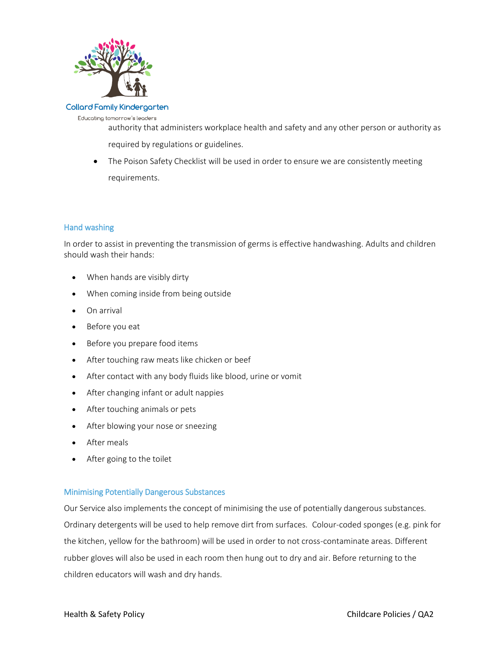

Educating tomorrow's leaders

authority that administers workplace health and safety and any other person or authority as required by regulations or guidelines.

• The Poison Safety Checklist will be used in order to ensure we are consistently meeting requirements.

# Hand washing

In order to assist in preventing the transmission of germs is effective handwashing. Adults and children should wash their hands:

- When hands are visibly dirty
- When coming inside from being outside
- On arrival
- Before you eat
- Before you prepare food items
- After touching raw meats like chicken or beef
- After contact with any body fluids like blood, urine or vomit
- After changing infant or adult nappies
- After touching animals or pets
- After blowing your nose or sneezing
- After meals
- After going to the toilet

# Minimising Potentially Dangerous Substances

Our Service also implements the concept of minimising the use of potentially dangerous substances. Ordinary detergents will be used to help remove dirt from surfaces. Colour-coded sponges (e.g. pink for the kitchen, yellow for the bathroom) will be used in order to not cross-contaminate areas. Different rubber gloves will also be used in each room then hung out to dry and air. Before returning to the children educators will wash and dry hands.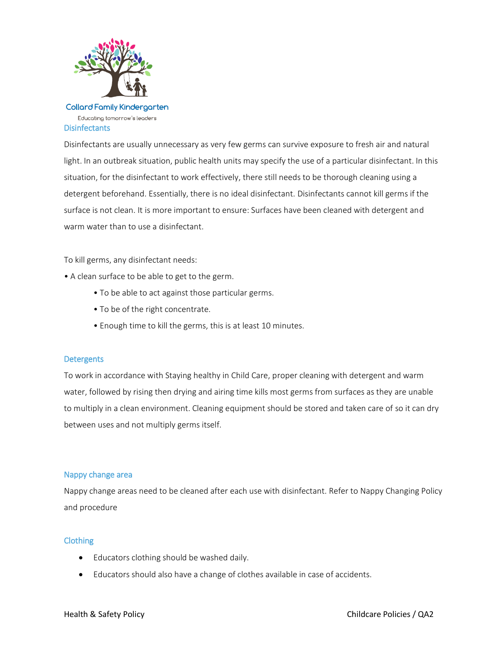

# **Disinfectants**

Disinfectants are usually unnecessary as very few germs can survive exposure to fresh air and natural light. In an outbreak situation, public health units may specify the use of a particular disinfectant. In this situation, for the disinfectant to work effectively, there still needs to be thorough cleaning using a detergent beforehand. Essentially, there is no ideal disinfectant. Disinfectants cannot kill germs if the surface is not clean. It is more important to ensure: Surfaces have been cleaned with detergent and warm water than to use a disinfectant.

To kill germs, any disinfectant needs:

- A clean surface to be able to get to the germ.
	- To be able to act against those particular germs.
	- To be of the right concentrate.
	- Enough time to kill the germs, this is at least 10 minutes.

#### **Detergents**

To work in accordance with Staying healthy in Child Care, proper cleaning with detergent and warm water, followed by rising then drying and airing time kills most germs from surfaces as they are unable to multiply in a clean environment. Cleaning equipment should be stored and taken care of so it can dry between uses and not multiply germs itself.

#### Nappy change area

Nappy change areas need to be cleaned after each use with disinfectant. Refer to Nappy Changing Policy and procedure

#### Clothing

- Educators clothing should be washed daily.
- Educators should also have a change of clothes available in case of accidents.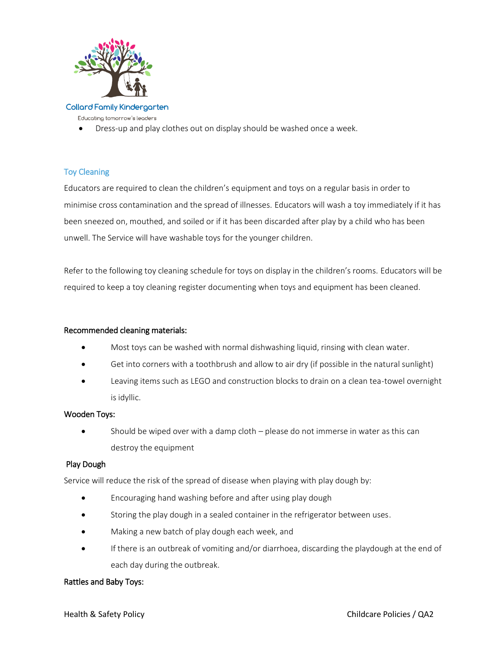

Educating tomorrow's leaders

Dress-up and play clothes out on display should be washed once a week.

# Toy Cleaning

Educators are required to clean the children's equipment and toys on a regular basis in order to minimise cross contamination and the spread of illnesses. Educators will wash a toy immediately if it has been sneezed on, mouthed, and soiled or if it has been discarded after play by a child who has been unwell. The Service will have washable toys for the younger children.

Refer to the following toy cleaning schedule for toys on display in the children's rooms. Educators will be required to keep a toy cleaning register documenting when toys and equipment has been cleaned.

# Recommended cleaning materials:

- Most toys can be washed with normal dishwashing liquid, rinsing with clean water.
- Get into corners with a toothbrush and allow to air dry (if possible in the natural sunlight)
- Leaving items such as LEGO and construction blocks to drain on a clean tea-towel overnight is idyllic.

# Wooden Toys:

 Should be wiped over with a damp cloth – please do not immerse in water as this can destroy the equipment

# Play Dough

Service will reduce the risk of the spread of disease when playing with play dough by:

- Encouraging hand washing before and after using play dough
- Storing the play dough in a sealed container in the refrigerator between uses.
- Making a new batch of play dough each week, and
- If there is an outbreak of vomiting and/or diarrhoea, discarding the playdough at the end of each day during the outbreak.

# Rattles and Baby Toys: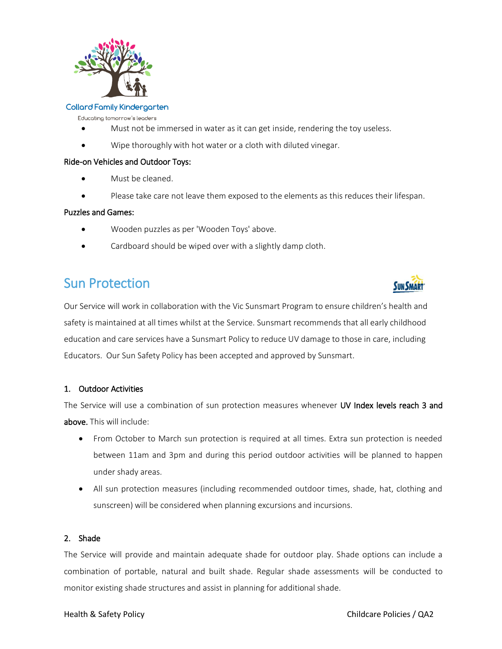

Educating tomorrow's leaders

- Must not be immersed in water as it can get inside, rendering the toy useless.
- Wipe thoroughly with hot water or a cloth with diluted vinegar.

#### Ride-on Vehicles and Outdoor Toys:

- Must be cleaned.
- Please take care not leave them exposed to the elements as this reduces their lifespan.

#### Puzzles and Games:

- Wooden puzzles as per 'Wooden Toys' above.
- Cardboard should be wiped over with a slightly damp cloth.

# Sun Protection

Our Service will work in collaboration with the Vic Sunsmart Program to ensure children's health and safety is maintained at all times whilst at the Service. Sunsmart recommends that all early childhood education and care services have a Sunsmart Policy to reduce UV damage to those in care, including Educators. Our Sun Safety Policy has been accepted and approved by Sunsmart.

# 1. Outdoor Activities

The Service will use a combination of sun protection measures whenever UV Index levels reach 3 and above. This will include:

- From October to March sun protection is required at all times. Extra sun protection is needed between 11am and 3pm and during this period outdoor activities will be planned to happen under shady areas.
- All sun protection measures (including recommended outdoor times, shade, hat, clothing and sunscreen) will be considered when planning excursions and incursions.

#### 2. Shade

The Service will provide and maintain adequate shade for outdoor play. Shade options can include a combination of portable, natural and built shade. Regular shade assessments will be conducted to monitor existing shade structures and assist in planning for additional shade.

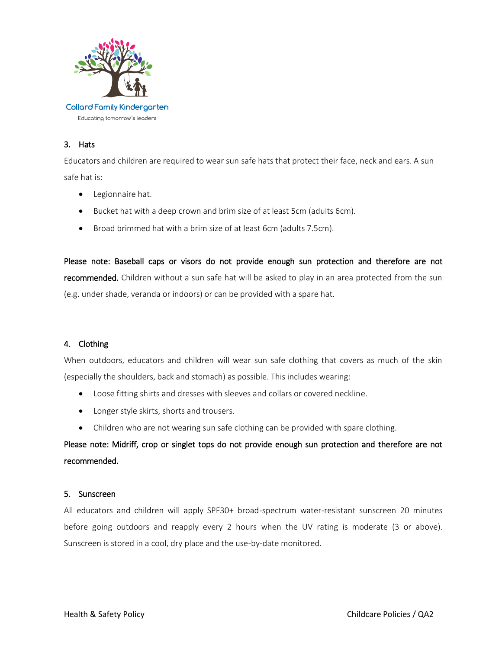

# 3. Hats

Educators and children are required to wear sun safe hats that protect their face, neck and ears. A sun safe hat is:

- Legionnaire hat.
- Bucket hat with a deep crown and brim size of at least 5cm (adults 6cm).
- Broad brimmed hat with a brim size of at least 6cm (adults 7.5cm).

Please note: Baseball caps or visors do not provide enough sun protection and therefore are not recommended. Children without a sun safe hat will be asked to play in an area protected from the sun (e.g. under shade, veranda or indoors) or can be provided with a spare hat.

# 4. Clothing

When outdoors, educators and children will wear sun safe clothing that covers as much of the skin (especially the shoulders, back and stomach) as possible. This includes wearing:

- Loose fitting shirts and dresses with sleeves and collars or covered neckline.
- Longer style skirts, shorts and trousers.
- Children who are not wearing sun safe clothing can be provided with spare clothing.

# Please note: Midriff, crop or singlet tops do not provide enough sun protection and therefore are not recommended.

# 5. Sunscreen

All educators and children will apply SPF30+ broad-spectrum water-resistant sunscreen 20 minutes before going outdoors and reapply every 2 hours when the UV rating is moderate (3 or above). Sunscreen is stored in a cool, dry place and the use-by-date monitored.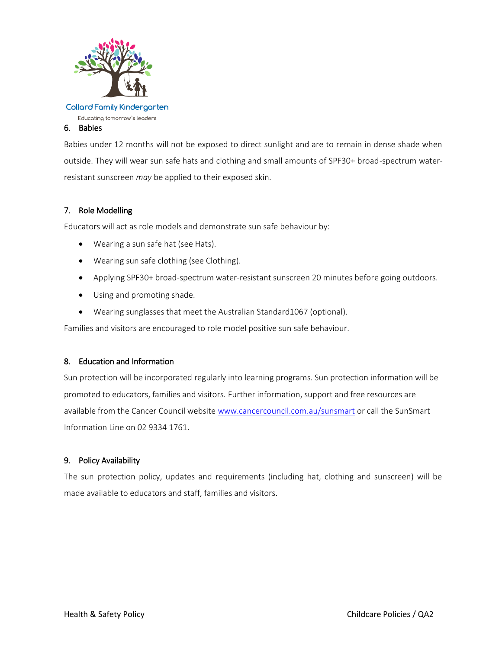

Educating tomorrow's leaders

# 6. Babies

Babies under 12 months will not be exposed to direct sunlight and are to remain in dense shade when outside. They will wear sun safe hats and clothing and small amounts of SPF30+ broad-spectrum waterresistant sunscreen *may* be applied to their exposed skin.

# 7. Role Modelling

Educators will act as role models and demonstrate sun safe behaviour by:

- Wearing a sun safe hat (see Hats).
- Wearing sun safe clothing (see Clothing).
- Applying SPF30+ broad-spectrum water-resistant sunscreen 20 minutes before going outdoors.
- Using and promoting shade.
- Wearing sunglasses that meet the Australian Standard1067 (optional).

Families and visitors are encouraged to role model positive sun safe behaviour.

# 8. Education and Information

Sun protection will be incorporated regularly into learning programs. Sun protection information will be promoted to educators, families and visitors. Further information, support and free resources are available from the Cancer Council website [www.cancercouncil.com.au/sunsmart](http://www.cancercouncil.com.au/sunsmart) or call the SunSmart Information Line on 02 9334 1761.

# 9. Policy Availability

The sun protection policy, updates and requirements (including hat, clothing and sunscreen) will be made available to educators and staff, families and visitors.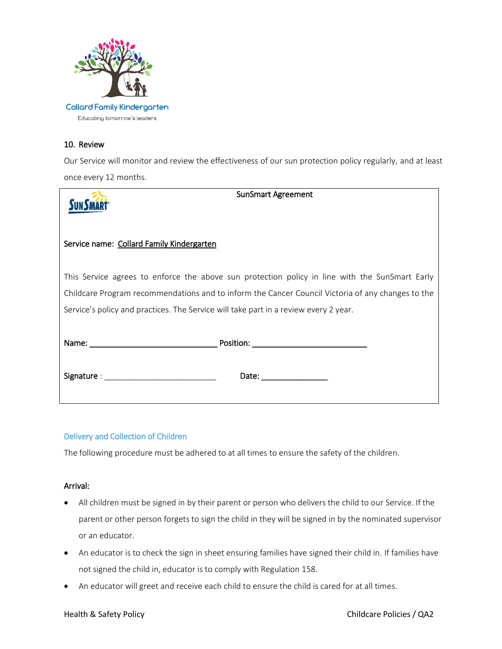

# 10. Review

Our Service will monitor and review the effectiveness of our sun protection policy regularly, and at least once every 12 months.

|                                                                                      | <b>SunSmart Agreement</b>                                                                                                                                                                                                      |
|--------------------------------------------------------------------------------------|--------------------------------------------------------------------------------------------------------------------------------------------------------------------------------------------------------------------------------|
| Service name: Collard Family Kindergarten                                            |                                                                                                                                                                                                                                |
|                                                                                      | This Service agrees to enforce the above sun protection policy in line with the SunSmart Early                                                                                                                                 |
|                                                                                      | Childcare Program recommendations and to inform the Cancer Council Victoria of any changes to the                                                                                                                              |
| Service's policy and practices. The Service will take part in a review every 2 year. |                                                                                                                                                                                                                                |
|                                                                                      |                                                                                                                                                                                                                                |
| Signature : New York Signature : New York Signature :                                | Date: the contract of the contract of the contract of the contract of the contract of the contract of the contract of the contract of the contract of the contract of the contract of the contract of the contract of the cont |

# Delivery and Collection of Children

The following procedure must be adhered to at all times to ensure the safety of the children.

# Arrival:

- All children must be signed in by their parent or person who delivers the child to our Service. If the parent or other person forgets to sign the child in they will be signed in by the nominated supervisor or an educator.
- An educator is to check the sign in sheet ensuring families have signed their child in. If families have not signed the child in, educator is to comply with Regulation 158.
- An educator will greet and receive each child to ensure the child is cared for at all times.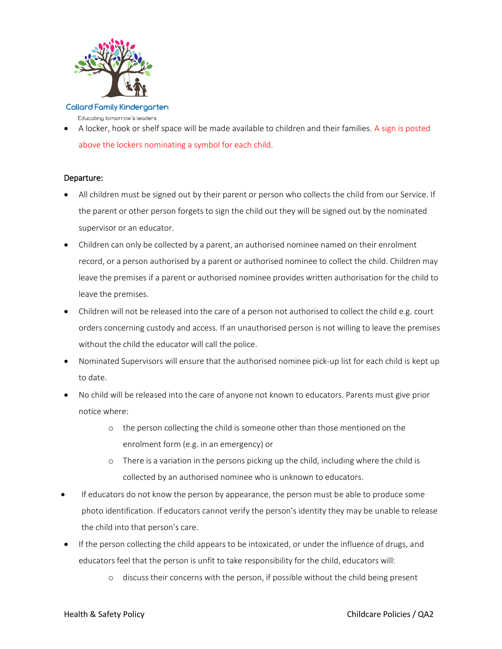

Educating tomorrow's leaders

 A locker, hook or shelf space will be made available to children and their families. A sign is posted above the lockers nominating a symbol for each child.

# Departure:

- All children must be signed out by their parent or person who collects the child from our Service. If the parent or other person forgets to sign the child out they will be signed out by the nominated supervisor or an educator.
- Children can only be collected by a parent, an authorised nominee named on their enrolment record, or a person authorised by a parent or authorised nominee to collect the child. Children may leave the premises if a parent or authorised nominee provides written authorisation for the child to leave the premises.
- Children will not be released into the care of a person not authorised to collect the child e.g. court orders concerning custody and access. If an unauthorised person is not willing to leave the premises without the child the educator will call the police.
- Nominated Supervisors will ensure that the authorised nominee pick-up list for each child is kept up to date.
- No child will be released into the care of anyone not known to educators. Parents must give prior notice where:
	- o the person collecting the child is someone other than those mentioned on the enrolment form (e.g. in an emergency) or
	- $\circ$  There is a variation in the persons picking up the child, including where the child is collected by an authorised nominee who is unknown to educators.
- If educators do not know the person by appearance, the person must be able to produce some photo identification. If educators cannot verify the person's identity they may be unable to release the child into that person's care.
- If the person collecting the child appears to be intoxicated, or under the influence of drugs, and educators feel that the person is unfit to take responsibility for the child, educators will:
	- o discuss their concerns with the person, if possible without the child being present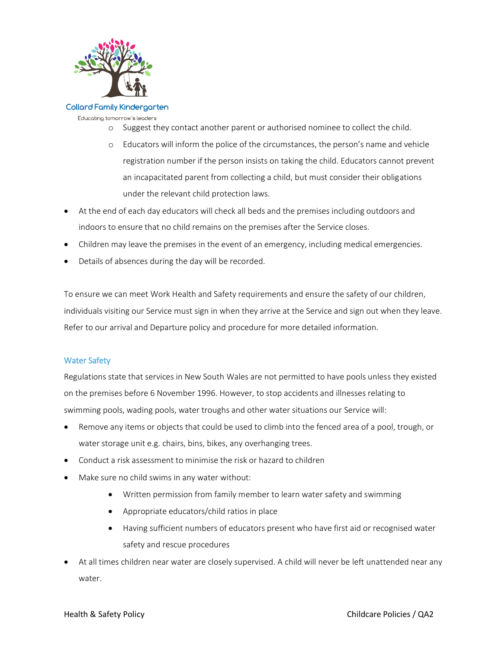

Educating tomorrow's leaders

- o Suggest they contact another parent or authorised nominee to collect the child.
- o Educators will inform the police of the circumstances, the person's name and vehicle registration number if the person insists on taking the child. Educators cannot prevent an incapacitated parent from collecting a child, but must consider their obligations under the relevant child protection laws.
- At the end of each day educators will check all beds and the premises including outdoors and indoors to ensure that no child remains on the premises after the Service closes.
- Children may leave the premises in the event of an emergency, including medical emergencies.
- Details of absences during the day will be recorded.

To ensure we can meet Work Health and Safety requirements and ensure the safety of our children, individuals visiting our Service must sign in when they arrive at the Service and sign out when they leave. Refer to our arrival and Departure policy and procedure for more detailed information.

# Water Safety

Regulations state that services in New South Wales are not permitted to have pools unless they existed on the premises before 6 November 1996. However, to stop accidents and illnesses relating to swimming pools, wading pools, water troughs and other water situations our Service will:

- Remove any items or objects that could be used to climb into the fenced area of a pool, trough, or water storage unit e.g. chairs, bins, bikes, any overhanging trees.
- Conduct a risk assessment to minimise the risk or hazard to children
- Make sure no child swims in any water without:
	- Written permission from family member to learn water safety and swimming
	- Appropriate educators/child ratios in place
	- Having sufficient numbers of educators present who have first aid or recognised water safety and rescue procedures
- At all times children near water are closely supervised. A child will never be left unattended near any water.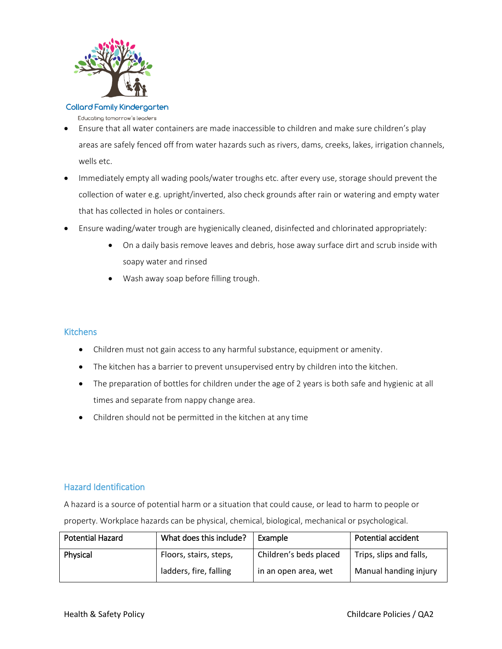

Educating tomorrow's leaders

- Ensure that all water containers are made inaccessible to children and make sure children's play areas are safely fenced off from water hazards such as rivers, dams, creeks, lakes, irrigation channels, wells etc.
- Immediately empty all wading pools/water troughs etc. after every use, storage should prevent the collection of water e.g. upright/inverted, also check grounds after rain or watering and empty water that has collected in holes or containers.
- Ensure wading/water trough are hygienically cleaned, disinfected and chlorinated appropriately:
	- On a daily basis remove leaves and debris, hose away surface dirt and scrub inside with soapy water and rinsed
	- Wash away soap before filling trough.

# **Kitchens**

- Children must not gain access to any harmful substance, equipment or amenity.
- The kitchen has a barrier to prevent unsupervised entry by children into the kitchen.
- The preparation of bottles for children under the age of 2 years is both safe and hygienic at all times and separate from nappy change area.
- Children should not be permitted in the kitchen at any time

# Hazard Identification

A hazard is a source of potential harm or a situation that could cause, or lead to harm to people or

| <b>Potential Hazard</b> | What does this include? | Example                | <b>Potential accident</b> |
|-------------------------|-------------------------|------------------------|---------------------------|
| Physical                | Floors, stairs, steps,  | Children's beds placed | Trips, slips and falls,   |
|                         | ladders, fire, falling  | in an open area, wet   | Manual handing injury     |

property. Workplace hazards can be physical, chemical, biological, mechanical or psychological.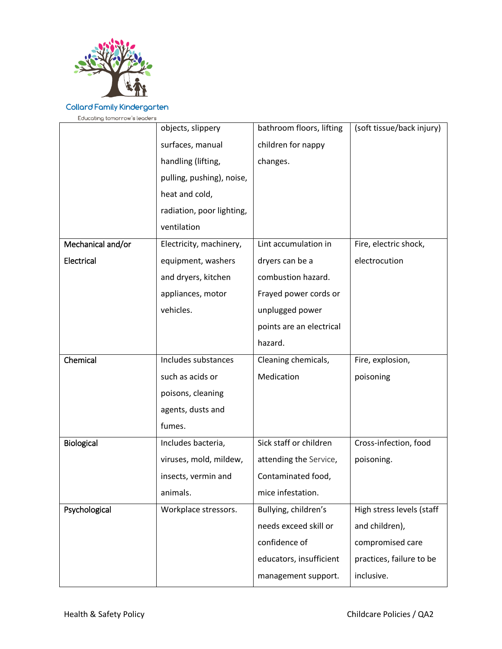

Educating tomorrow's leaders

|                   | objects, slippery         | bathroom floors, lifting | (soft tissue/back injury) |
|-------------------|---------------------------|--------------------------|---------------------------|
|                   | surfaces, manual          | children for nappy       |                           |
|                   | handling (lifting,        | changes.                 |                           |
|                   | pulling, pushing), noise, |                          |                           |
|                   | heat and cold,            |                          |                           |
|                   | radiation, poor lighting, |                          |                           |
|                   | ventilation               |                          |                           |
| Mechanical and/or | Electricity, machinery,   | Lint accumulation in     | Fire, electric shock,     |
| Electrical        | equipment, washers        | dryers can be a          | electrocution             |
|                   | and dryers, kitchen       | combustion hazard.       |                           |
|                   | appliances, motor         | Frayed power cords or    |                           |
|                   | vehicles.                 | unplugged power          |                           |
|                   |                           | points are an electrical |                           |
|                   |                           | hazard.                  |                           |
|                   |                           |                          |                           |
| Chemical          | Includes substances       | Cleaning chemicals,      | Fire, explosion,          |
|                   | such as acids or          | Medication               | poisoning                 |
|                   | poisons, cleaning         |                          |                           |
|                   | agents, dusts and         |                          |                           |
|                   | fumes.                    |                          |                           |
| Biological        | Includes bacteria,        | Sick staff or children   | Cross-infection, food     |
|                   | viruses, mold, mildew,    | attending the Service,   | poisoning.                |
|                   | insects, vermin and       | Contaminated food,       |                           |
|                   | animals.                  | mice infestation.        |                           |
| Psychological     | Workplace stressors.      | Bullying, children's     | High stress levels (staff |
|                   |                           | needs exceed skill or    | and children),            |
|                   |                           | confidence of            | compromised care          |
|                   |                           | educators, insufficient  | practices, failure to be  |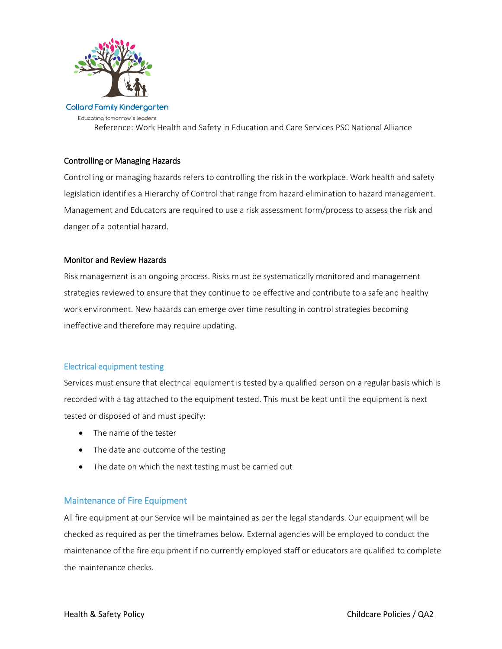

**Collard Family Kindergarten** Educating tomorrow's leaders Reference: Work Health and Safety in Education and Care Services PSC National Alliance

# Controlling or Managing Hazards

Controlling or managing hazards refers to controlling the risk in the workplace. Work health and safety legislation identifies a Hierarchy of Control that range from hazard elimination to hazard management. Management and Educators are required to use a risk assessment form/process to assess the risk and danger of a potential hazard.

# Monitor and Review Hazards

Risk management is an ongoing process. Risks must be systematically monitored and management strategies reviewed to ensure that they continue to be effective and contribute to a safe and healthy work environment. New hazards can emerge over time resulting in control strategies becoming ineffective and therefore may require updating.

#### Electrical equipment testing

Services must ensure that electrical equipment is tested by a qualified person on a regular basis which is recorded with a tag attached to the equipment tested. This must be kept until the equipment is next tested or disposed of and must specify:

- The name of the tester
- The date and outcome of the testing
- The date on which the next testing must be carried out

# Maintenance of Fire Equipment

All fire equipment at our Service will be maintained as per the legal standards. Our equipment will be checked as required as per the timeframes below. External agencies will be employed to conduct the maintenance of the fire equipment if no currently employed staff or educators are qualified to complete the maintenance checks.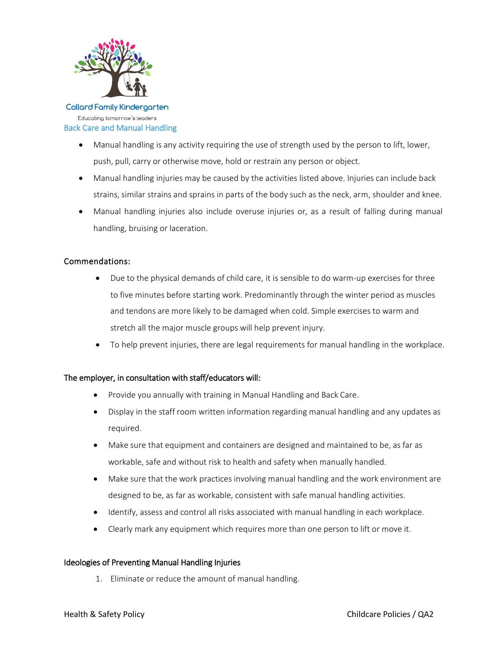

#### **Collard Family Kindergarten** Educating tomorrow's leaders Back Care and Manual Handling

- Manual handling is any activity requiring the use of strength used by the person to lift, lower, push, pull, carry or otherwise move, hold or restrain any person or object.
- Manual handling injuries may be caused by the activities listed above. Injuries can include back strains, similar strains and sprains in parts of the body such as the neck, arm, shoulder and knee.
- Manual handling injuries also include overuse injuries or, as a result of falling during manual handling, bruising or laceration.

# Commendations:

- Due to the physical demands of child care, it is sensible to do warm-up exercises for three to five minutes before starting work. Predominantly through the winter period as muscles and tendons are more likely to be damaged when cold. Simple exercises to warm and stretch all the major muscle groups will help prevent injury.
- To help prevent injuries, there are legal requirements for manual handling in the workplace.

# The employer, in consultation with staff/educators will:

- Provide you annually with training in Manual Handling and Back Care.
- Display in the staff room written information regarding manual handling and any updates as required.
- Make sure that equipment and containers are designed and maintained to be, as far as workable, safe and without risk to health and safety when manually handled.
- Make sure that the work practices involving manual handling and the work environment are designed to be, as far as workable, consistent with safe manual handling activities.
- Identify, assess and control all risks associated with manual handling in each workplace.
- Clearly mark any equipment which requires more than one person to lift or move it.

# Ideologies of Preventing Manual Handling Injuries

1. Eliminate or reduce the amount of manual handling.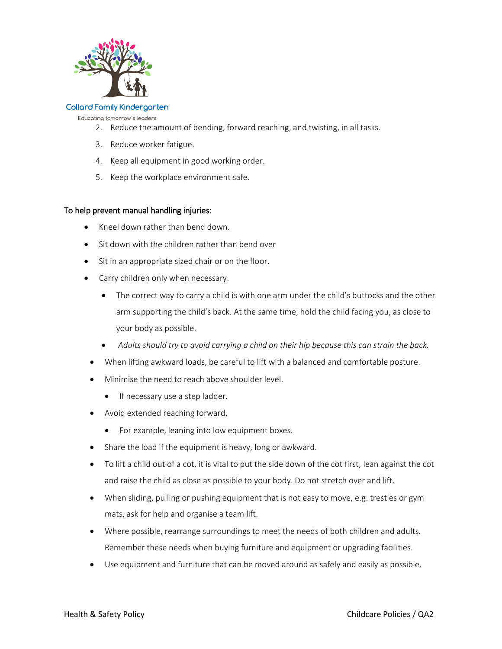

Educating tomorrow's leaders

- 2. Reduce the amount of bending, forward reaching, and twisting, in all tasks.
- 3. Reduce worker fatigue.
- 4. Keep all equipment in good working order.
- 5. Keep the workplace environment safe.

#### To help prevent manual handling injuries:

- Kneel down rather than bend down.
- Sit down with the children rather than bend over
- Sit in an appropriate sized chair or on the floor.
- Carry children only when necessary.
	- The correct way to carry a child is with one arm under the child's buttocks and the other arm supporting the child's back. At the same time, hold the child facing you, as close to your body as possible.
	- *Adults should try to avoid carrying a child on their hip because this can strain the back.*
	- When lifting awkward loads, be careful to lift with a balanced and comfortable posture.
- Minimise the need to reach above shoulder level.
	- If necessary use a step ladder.
- Avoid extended reaching forward,
	- For example, leaning into low equipment boxes.
- Share the load if the equipment is heavy, long or awkward.
- To lift a child out of a cot, it is vital to put the side down of the cot first, lean against the cot and raise the child as close as possible to your body. Do not stretch over and lift.
- When sliding, pulling or pushing equipment that is not easy to move, e.g. trestles or gym mats, ask for help and organise a team lift.
- Where possible, rearrange surroundings to meet the needs of both children and adults. Remember these needs when buying furniture and equipment or upgrading facilities.
- Use equipment and furniture that can be moved around as safely and easily as possible.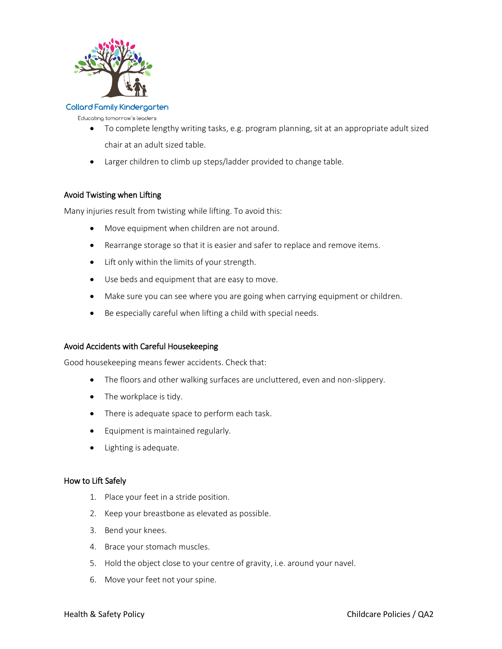

#### Educating tomorrow's leaders

- To complete lengthy writing tasks, e.g. program planning, sit at an appropriate adult sized chair at an adult sized table.
- Larger children to climb up steps/ladder provided to change table.

# Avoid Twisting when Lifting

Many injuries result from twisting while lifting. To avoid this:

- Move equipment when children are not around.
- Rearrange storage so that it is easier and safer to replace and remove items.
- Lift only within the limits of your strength.
- Use beds and equipment that are easy to move.
- Make sure you can see where you are going when carrying equipment or children.
- Be especially careful when lifting a child with special needs.

#### Avoid Accidents with Careful Housekeeping

Good housekeeping means fewer accidents. Check that:

- The floors and other walking surfaces are uncluttered, even and non-slippery.
- The workplace is tidy.
- There is adequate space to perform each task.
- **•** Equipment is maintained regularly.
- Lighting is adequate.

#### How to Lift Safely

- 1. Place your feet in a stride position.
- 2. Keep your breastbone as elevated as possible.
- 3. Bend your knees.
- 4. Brace your stomach muscles.
- 5. Hold the object close to your centre of gravity, i.e. around your navel.
- 6. Move your feet not your spine.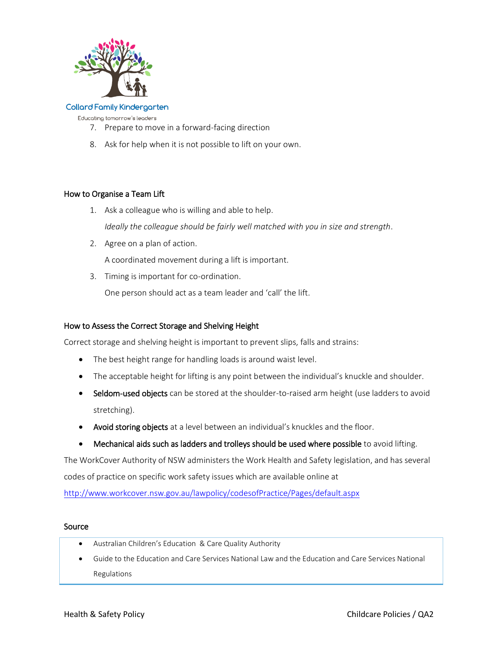

Educating tomorrow's leaders

- 7. Prepare to move in a forward-facing direction
- 8. Ask for help when it is not possible to lift on your own.

# How to Organise a Team Lift

- 1. Ask a colleague who is willing and able to help. *Ideally the colleague should be fairly well matched with you in size and strength*.
- 2. Agree on a plan of action.

A coordinated movement during a lift is important.

3. Timing is important for co-ordination.

One person should act as a team leader and 'call' the lift.

# How to Assess the Correct Storage and Shelving Height

Correct storage and shelving height is important to prevent slips, falls and strains:

- The best height range for handling loads is around waist level.
- The acceptable height for lifting is any point between the individual's knuckle and shoulder.
- Seldom-used objects can be stored at the shoulder-to-raised arm height (use ladders to avoid stretching).
- Avoid storing objects at a level between an individual's knuckles and the floor.
- Mechanical aids such as ladders and trolleys should be used where possible to avoid lifting.

The WorkCover Authority of NSW administers the Work Health and Safety legislation, and has several codes of practice on specific work safety issues which are available online at

<http://www.workcover.nsw.gov.au/lawpolicy/codesofPractice/Pages/default.aspx>

#### Source

- Australian Children's Education & Care Quality Authority
- Guide to the Education and Care Services National Law and the Education and Care Services National Regulations